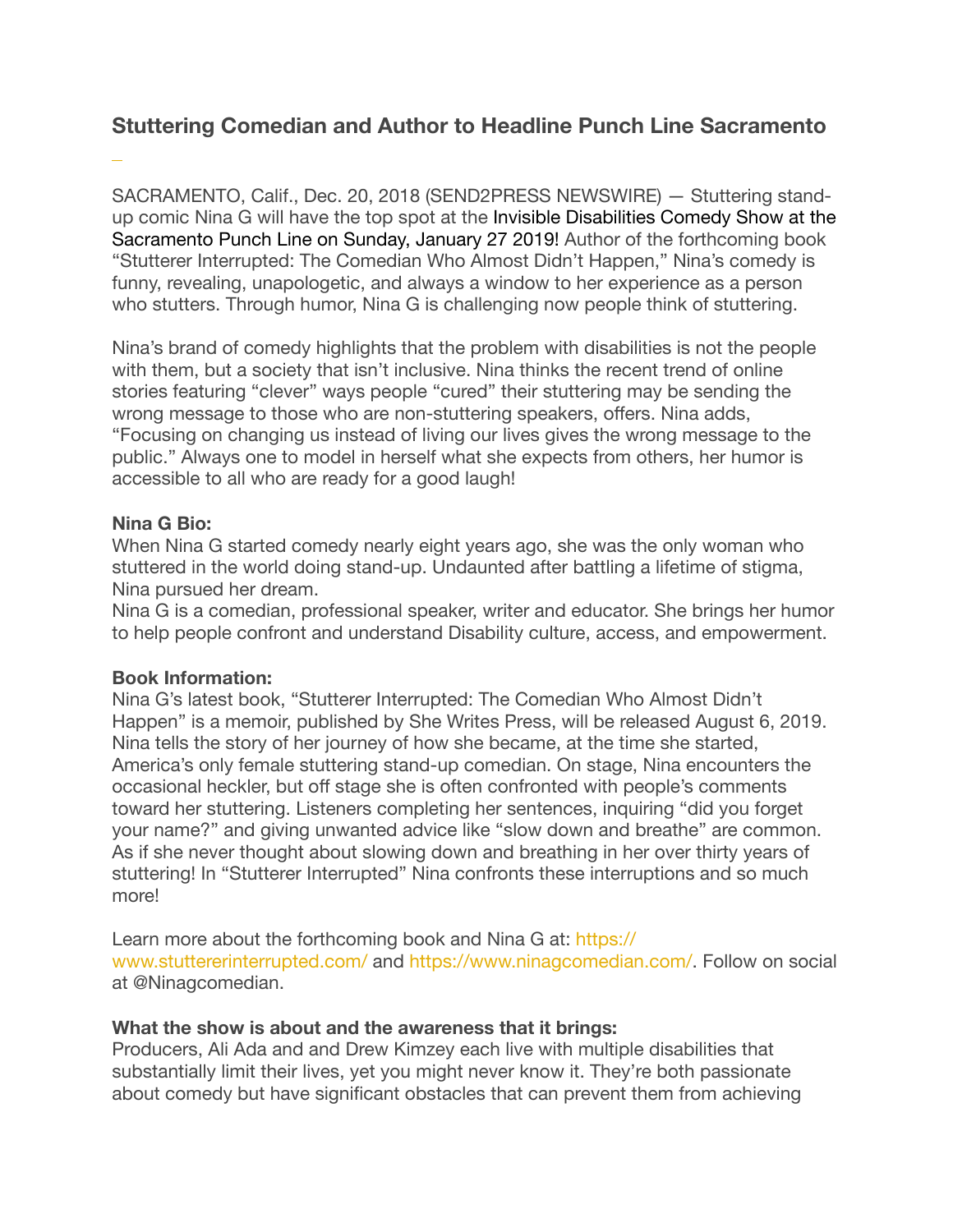# **Stuttering Comedian and Author to Headline Punch Line Sacramento**

SACRAMENTO, Calif., Dec. 20, 2018 (SEND2PRESS NEWSWIRE) — Stuttering stand[up comic Nina G will have the top spot at the](https://concerts1.livenation.com/invisible-disabilities-comedy-show-sacramento-california-01-27-2019/event/1C00558CC36D7EC3) [Invisible Disabilities Comedy Show at the](https://concerts1.livenation.com/invisible-disabilities-comedy-show-sacramento-california-01-27-2019/event/1C00558CC36D7EC3)  [Sacramento Punch Line on Sunday, January 27 2019](https://concerts1.livenation.com/invisible-disabilities-comedy-show-sacramento-california-01-27-2019/event/1C00558CC36D7EC3)! Author of the forthcoming book "Stutterer Interrupted: The Comedian Who Almost Didn't Happen," Nina's comedy is funny, revealing, unapologetic, and always a window to her experience as a person who stutters. Through humor, Nina G is challenging now people think of stuttering.

Nina's brand of comedy highlights that the problem with disabilities is not the people with them, but a society that isn't inclusive. Nina thinks the recent trend of online stories featuring "clever" ways people "cured" their stuttering may be sending the wrong message to those who are non-stuttering speakers, offers. Nina adds, "Focusing on changing us instead of living our lives gives the wrong message to the public." Always one to model in herself what she expects from others, her humor is accessible to all who are ready for a good laugh!

### **Nina G Bio:**

 $\ddot{\phantom{0}}$ 

When Nina G started comedy nearly eight years ago, she was the only woman who stuttered in the world doing stand-up. Undaunted after battling a lifetime of stigma, Nina pursued her dream.

Nina G is a comedian, professional speaker, writer and educator. She brings her humor to help people confront and understand Disability culture, access, and empowerment.

#### **Book Information:**

Nina G's latest book, "Stutterer Interrupted: The Comedian Who Almost Didn't Happen" is a memoir, published by She Writes Press, will be released August 6, 2019. Nina tells the story of her journey of how she became, at the time she started, America's only female stuttering stand-up comedian. On stage, Nina encounters the occasional heckler, but off stage she is often confronted with people's comments toward her stuttering. Listeners completing her sentences, inquiring "did you forget your name?" and giving unwanted advice like "slow down and breathe" are common. As if she never thought about slowing down and breathing in her over thirty years of stuttering! In "Stutterer Interrupted" Nina confronts these interruptions and so much more!

Learn more about the forthcoming book and Nina G at: [https://](https://www.stuttererinterrupted.com/) [www.stuttererinterrupted.com/](https://www.stuttererinterrupted.com/) and [https://www.ninagcomedian.com/.](https://www.ninagcomedian.com/) Follow on social at @Ninagcomedian.

#### **What the show is about and the awareness that it brings:**

Producers, Ali Ada and and Drew Kimzey each live with multiple disabilities that substantially limit their lives, yet you might never know it. They're both passionate about comedy but have significant obstacles that can prevent them from achieving